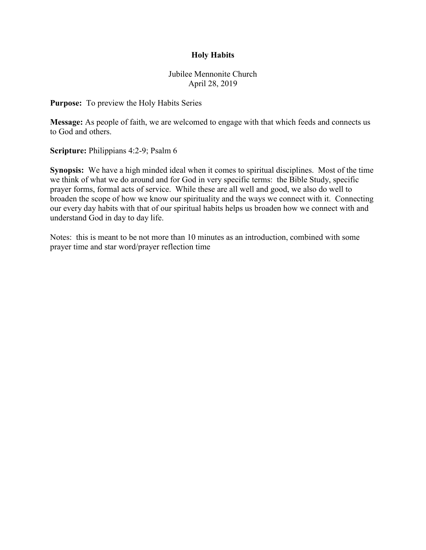## **Holy Habits**

Jubilee Mennonite Church April 28, 2019

**Purpose:** To preview the Holy Habits Series

**Message:** As people of faith, we are welcomed to engage with that which feeds and connects us to God and others.

**Scripture:** Philippians 4:2-9; Psalm 6

**Synopsis:** We have a high minded ideal when it comes to spiritual disciplines. Most of the time we think of what we do around and for God in very specific terms: the Bible Study, specific prayer forms, formal acts of service. While these are all well and good, we also do well to broaden the scope of how we know our spirituality and the ways we connect with it. Connecting our every day habits with that of our spiritual habits helps us broaden how we connect with and understand God in day to day life.

Notes: this is meant to be not more than 10 minutes as an introduction, combined with some prayer time and star word/prayer reflection time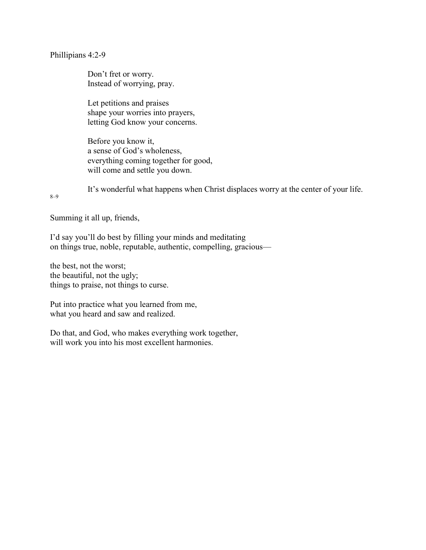Phillipians 4:2-9

Don't fret or worry. Instead of worrying, pray.

Let petitions and praises shape your worries into prayers, letting God know your concerns.

Before you know it, a sense of God's wholeness, everything coming together for good, will come and settle you down.

It's wonderful what happens when Christ displaces worry at the center of your life.

8–9

Summing it all up, friends,

I'd say you'll do best by filling your minds and meditating on things true, noble, reputable, authentic, compelling, gracious—

the best, not the worst; the beautiful, not the ugly; things to praise, not things to curse.

Put into practice what you learned from me, what you heard and saw and realized.

Do that, and God, who makes everything work together, will work you into his most excellent harmonies.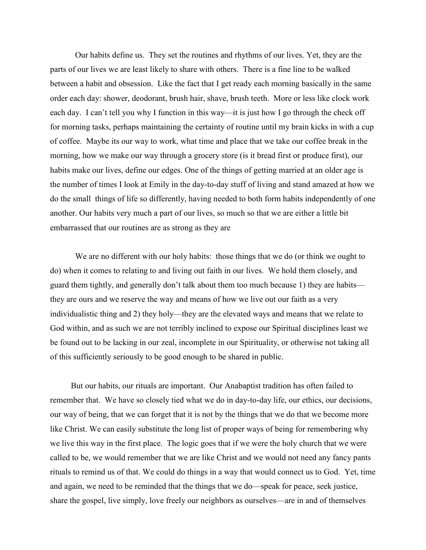Our habits define us. They set the routines and rhythms of our lives. Yet, they are the parts of our lives we are least likely to share with others. There is a fine line to be walked between a habit and obsession. Like the fact that I get ready each morning basically in the same order each day: shower, deodorant, brush hair, shave, brush teeth. More or less like clock work each day. I can't tell you why I function in this way—it is just how I go through the check off for morning tasks, perhaps maintaining the certainty of routine until my brain kicks in with a cup of coffee. Maybe its our way to work, what time and place that we take our coffee break in the morning, how we make our way through a grocery store (is it bread first or produce first), our habits make our lives, define our edges. One of the things of getting married at an older age is the number of times I look at Emily in the day-to-day stuff of living and stand amazed at how we do the small things of life so differently, having needed to both form habits independently of one another. Our habits very much a part of our lives, so much so that we are either a little bit embarrassed that our routines are as strong as they are

We are no different with our holy habits: those things that we do (or think we ought to do) when it comes to relating to and living out faith in our lives. We hold them closely, and guard them tightly, and generally don't talk about them too much because 1) they are habits they are ours and we reserve the way and means of how we live out our faith as a very individualistic thing and 2) they holy—they are the elevated ways and means that we relate to God within, and as such we are not terribly inclined to expose our Spiritual disciplines least we be found out to be lacking in our zeal, incomplete in our Spirituality, or otherwise not taking all of this sufficiently seriously to be good enough to be shared in public.

 But our habits, our rituals are important. Our Anabaptist tradition has often failed to remember that. We have so closely tied what we do in day-to-day life, our ethics, our decisions, our way of being, that we can forget that it is not by the things that we do that we become more like Christ. We can easily substitute the long list of proper ways of being for remembering why we live this way in the first place. The logic goes that if we were the holy church that we were called to be, we would remember that we are like Christ and we would not need any fancy pants rituals to remind us of that. We could do things in a way that would connect us to God. Yet, time and again, we need to be reminded that the things that we do—speak for peace, seek justice, share the gospel, live simply, love freely our neighbors as ourselves—are in and of themselves